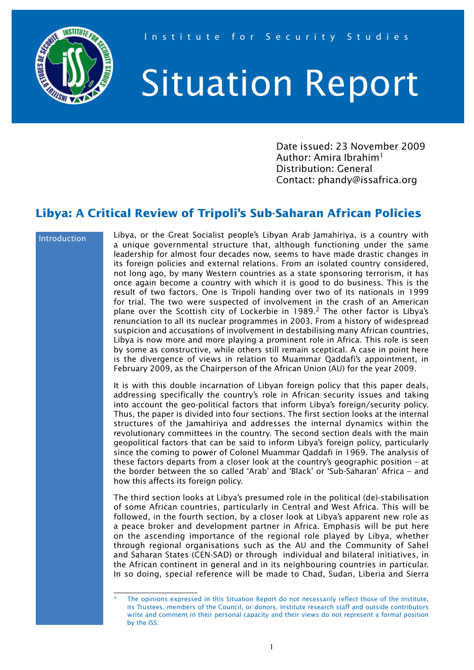

# Situation Report

Date issued: 23 November 2009 Author: Amira Ibrahim<sup>1</sup> Distribution: General Contact: phandy@issafrica.org

## **Libya: A Critical Review of Tripoli's Sub-Saharan African Policies**

#### Introduction

Libya, or the Great Socialist people's Libyan Arab Jamahiriya, is a country with a unique governmental structure that, although functioning under the same leadership for almost four decades now, seems to have made drastic changes in its foreign policies and external relations. From an isolated country considered, not long ago, by many Western countries as a state sponsoring terrorism, it has once again become a country with which it is good to do business. This is the result of two factors. One is Tripoli handing over two of its nationals in 1999 for trial. The two were suspected of involvement in the crash of an American plane over the Scottish city of Lockerbie in 1989.<sup>2</sup> The other factor is Libya's renunciation to all its nuclear programmes in 2003. From a history of widespread suspicion and accusations of involvement in destabilising many African countries, Libya is now more and more playing a prominent role in Africa. This role is seen by some as constructive, while others still remain sceptical. A case in point here is the divergence of views in relation to Muammar Qaddafi's appointment, in February 2009, as the Chairperson of the African Union (AU) for the year 2009.

It is with this double incarnation of Libyan foreign policy that this paper deals, addressing specifically the country's role in African security issues and taking into account the geo-political factors that inform Libya's foreign/security policy. Thus, the paper is divided into four sections. The first section looks at the internal structures of the Jamahiriya and addresses the internal dynamics within the revolutionary committees in the country. The second section deals with the main geopolitical factors that can be said to inform Libya's foreign policy, particularly since the coming to power of Colonel Muammar Qaddafi in 1969. The analysis of these factors departs from a closer look at the country's geographic position – at the border between the so called 'Arab' and 'Black' or 'Sub-Saharan' Africa – and how this affects its foreign policy.

The third section looks at Libya's presumed role in the political (de)-stabilisation of some African countries, particularly in Central and West Africa. This will be followed, in the fourth section, by a closer look at Libya's apparent new role as a peace broker and development partner in Africa. Emphasis will be put here on the ascending importance of the regional role played by Libya, whether through regional organisations such as the AU and the Community of Sahel and Saharan States (CEN-SAD) or through individual and bilateral initiatives, in the African continent in general and in its neighbouring countries in particular. In so doing, special reference will be made to Chad, Sudan, Liberia and Sierra

The opinions expressed in this Situation Report do not necessarily reflect those of the Institute, its Trustees, members of the Council, or donors. Institute research staff and outside contributors write and comment in their personal capacity and their views do not represent a formal position by the ISS.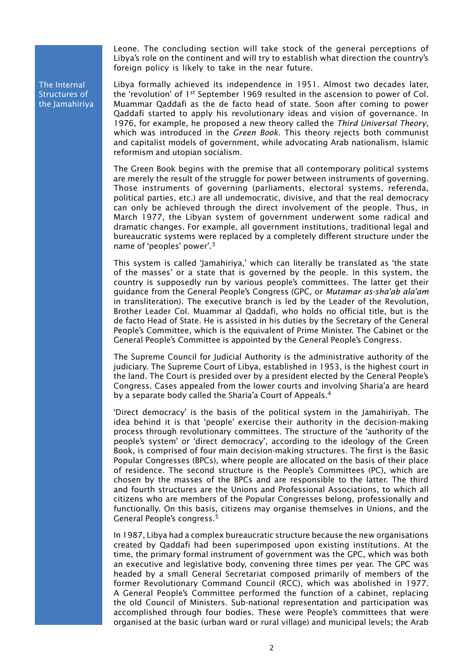Leone. The concluding section will take stock of the general perceptions of Libya's role on the continent and will try to establish what direction the country's foreign policy is likely to take in the near future.

The Internal Structures of the Jamahiriya Libya formally achieved its independence in 1951. Almost two decades later, the 'revolution' of 1<sup>st</sup> September 1969 resulted in the ascension to power of Col. Muammar Qaddafi as the de facto head of state. Soon after coming to power Qaddafi started to apply his revolutionary ideas and vision of governance. In 1976, for example, he proposed a new theory called the *Third Universal Theory*, which was introduced in the *Green Book*. This theory rejects both communist and capitalist models of government, while advocating Arab nationalism, Islamic reformism and utopian socialism.

The Green Book begins with the premise that all contemporary political systems are merely the result of the struggle for power between instruments of governing. Those instruments of governing (parliaments, electoral systems, referenda, political parties, etc.) are all undemocratic, divisive, and that the real democracy can only be achieved through the direct involvement of the people. Thus, in March 1977, the Libyan system of government underwent some radical and dramatic changes. For example, all government institutions, traditional legal and bureaucratic systems were replaced by a completely different structure under the name of 'peoples' power'.3

This system is called 'Jamahiriya,' which can literally be translated as 'the state of the masses' or a state that is governed by the people. In this system, the country is supposedly run by various people's committees. The latter get their guidance from the General People's Congress (GPC, or *Mutamar as-sha'ab ala'am* in transliteration). The executive branch is led by the Leader of the Revolution, Brother Leader Col. Muammar al Qaddafi, who holds no official title, but is the de facto Head of State. He is assisted in his duties by the Secretary of the General People's Committee, which is the equivalent of Prime Minister. The Cabinet or the General People's Committee is appointed by the General People's Congress.

The Supreme Council for Judicial Authority is the administrative authority of the judiciary. The Supreme Court of Libya, established in 1953, is the highest court in the land. The Court is presided over by a president elected by the General People's Congress. Cases appealed from the lower courts and involving Sharia'a are heard by a separate body called the Sharia'a Court of Appeals.4

'Direct democracy' is the basis of the political system in the Jamahiriyah. The idea behind it is that 'people' exercise their authority in the decision-making process through revolutionary committees. The structure of the 'authority of the people's system' or 'direct democracy', according to the ideology of the Green Book, is comprised of four main decision-making structures. The first is the Basic Popular Congresses (BPCs), where people are allocated on the basis of their place of residence. The second structure is the People's Committees (PC), which are chosen by the masses of the BPCs and are responsible to the latter. The third and fourth structures are the Unions and Professional Associations, to which all citizens who are members of the Popular Congresses belong, professionally and functionally. On this basis, citizens may organise themselves in Unions, and the General People's congress.5

In 1987, Libya had a complex bureaucratic structure because the new organisations created by Qaddafi had been superimposed upon existing institutions. At the time, the primary formal instrument of government was the GPC, which was both an executive and legislative body, convening three times per year. The GPC was headed by a small General Secretariat composed primarily of members of the former Revolutionary Command Council (RCC), which was abolished in 1977. A General People's Committee performed the function of a cabinet, replacing the old Council of Ministers. Sub-national representation and participation was accomplished through four bodies. These were People's committees that were organised at the basic (urban ward or rural village) and municipal levels; the Arab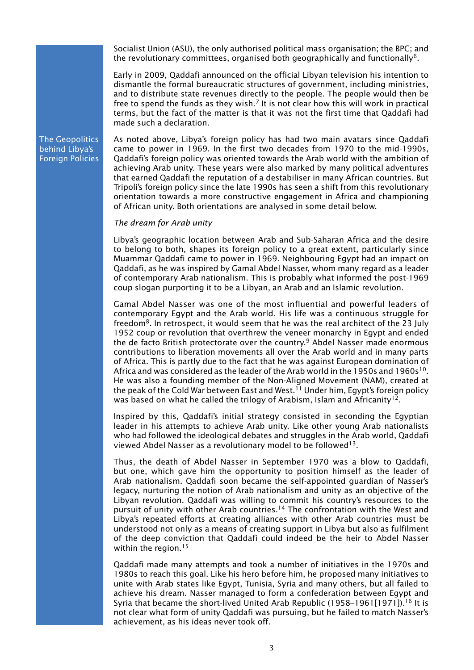Socialist Union (ASU), the only authorised political mass organisation; the BPC; and the revolutionary committees, organised both geographically and functionally<sup>6</sup>.

Early in 2009, Qaddafi announced on the official Libyan television his intention to dismantle the formal bureaucratic structures of government, including ministries, and to distribute state revenues directly to the people. The people would then be free to spend the funds as they wish.<sup>7</sup> It is not clear how this will work in practical terms, but the fact of the matter is that it was not the first time that Qaddafi had made such a declaration.

The Geopolitics behind Libya's Foreign Policies As noted above, Libya's foreign policy has had two main avatars since Qaddafi came to power in 1969. In the first two decades from 1970 to the mid-1990s, Qaddafi's foreign policy was oriented towards the Arab world with the ambition of achieving Arab unity. These years were also marked by many political adventures that earned Qaddafi the reputation of a destabiliser in many African countries. But Tripoli's foreign policy since the late 1990s has seen a shift from this revolutionary orientation towards a more constructive engagement in Africa and championing of African unity. Both orientations are analysed in some detail below.

#### *The dream for Arab unity*

Libya's geographic location between Arab and Sub-Saharan Africa and the desire to belong to both, shapes its foreign policy to a great extent, particularly since Muammar Qaddafi came to power in 1969. Neighbouring Egypt had an impact on Qaddafi, as he was inspired by Gamal Abdel Nasser, whom many regard as a leader of contemporary Arab nationalism. This is probably what informed the post-1969 coup slogan purporting it to be a Libyan, an Arab and an Islamic revolution.

Gamal Abdel Nasser was one of the most influential and powerful leaders of contemporary Egypt and the Arab world. His life was a continuous struggle for freedom<sup>8</sup>. In retrospect, it would seem that he was the real architect of the 23 July 1952 coup or revolution that overthrew the veneer monarchy in Egypt and ended the de facto British protectorate over the country.<sup>9</sup> Abdel Nasser made enormous contributions to liberation movements all over the Arab world and in many parts of Africa. This is partly due to the fact that he was against European domination of Africa and was considered as the leader of the Arab world in the 1950s and 1960s<sup>10</sup>. He was also a founding member of the Non-Aligned Movement (NAM), created at the peak of the Cold War between East and West.<sup>11</sup> Under him, Egypt's foreign policy was based on what he called the trilogy of Arabism, Islam and Africanity<sup>12</sup>.

Inspired by this, Qaddafi's initial strategy consisted in seconding the Egyptian leader in his attempts to achieve Arab unity. Like other young Arab nationalists who had followed the ideological debates and struggles in the Arab world, Qaddafi viewed Abdel Nasser as a revolutionary model to be followed<sup>13</sup>.

Thus, the death of Abdel Nasser in September 1970 was a blow to Qaddafi, but one, which gave him the opportunity to position himself as the leader of Arab nationalism. Qaddafi soon became the self-appointed guardian of Nasser's legacy, nurturing the notion of Arab nationalism and unity as an objective of the Libyan revolution. Qaddafi was willing to commit his country's resources to the pursuit of unity with other Arab countries.<sup>14</sup> The confrontation with the West and Libya's repeated efforts at creating alliances with other Arab countries must be understood not only as a means of creating support in Libya but also as fulfilment of the deep conviction that Qaddafi could indeed be the heir to Abdel Nasser within the region.<sup>15</sup>

Qaddafi made many attempts and took a number of initiatives in the 1970s and 1980s to reach this goal. Like his hero before him, he proposed many initiatives to unite with Arab states like Egypt, Tunisia, Syria and many others, but all failed to achieve his dream. Nasser managed to form a confederation between Egypt and Syria that became the short-lived United Arab Republic (1958–1961[1971]).<sup>16</sup> It is not clear what form of unity Qaddafi was pursuing, but he failed to match Nasser's achievement, as his ideas never took off.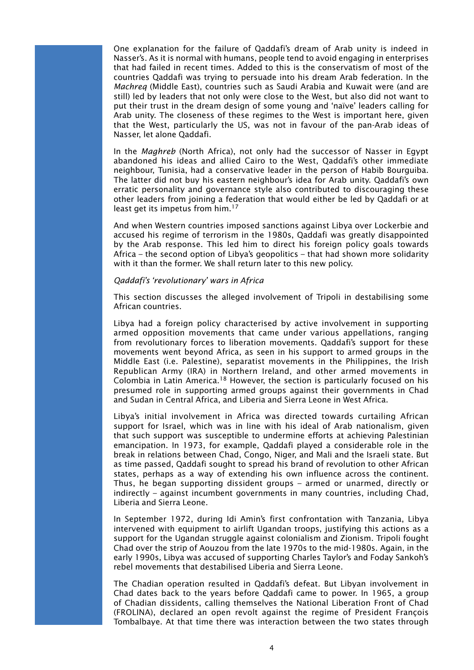One explanation for the failure of Qaddafi's dream of Arab unity is indeed in Nasser's. As it is normal with humans, people tend to avoid engaging in enterprises that had failed in recent times. Added to this is the conservatism of most of the countries Qaddafi was trying to persuade into his dream Arab federation. In the *Machreq* (Middle East), countries such as Saudi Arabia and Kuwait were (and are still) led by leaders that not only were close to the West, but also did not want to put their trust in the dream design of some young and 'naïve' leaders calling for Arab unity. The closeness of these regimes to the West is important here, given that the West, particularly the US, was not in favour of the pan-Arab ideas of Nasser, let alone Qaddafi.

In the *Maghreb* (North Africa), not only had the successor of Nasser in Egypt abandoned his ideas and allied Cairo to the West, Qaddafi's other immediate neighbour, Tunisia, had a conservative leader in the person of Habib Bourguiba. The latter did not buy his eastern neighbour's idea for Arab unity. Qaddafi's own erratic personality and governance style also contributed to discouraging these other leaders from joining a federation that would either be led by Qaddafi or at least get its impetus from him.<sup>17</sup>

And when Western countries imposed sanctions against Libya over Lockerbie and accused his regime of terrorism in the 1980s, Qaddafi was greatly disappointed by the Arab response. This led him to direct his foreign policy goals towards Africa – the second option of Libya's geopolitics – that had shown more solidarity with it than the former. We shall return later to this new policy.

#### *Qaddafi's 'revolutionary' wars in Africa*

This section discusses the alleged involvement of Tripoli in destabilising some African countries.

Libya had a foreign policy characterised by active involvement in supporting armed opposition movements that came under various appellations, ranging from revolutionary forces to liberation movements. Qaddafi's support for these movements went beyond Africa, as seen in his support to armed groups in the Middle East (i.e. Palestine), separatist movements in the Philippines, the Irish Republican Army (IRA) in Northern Ireland, and other armed movements in Colombia in Latin America.<sup>18</sup> However, the section is particularly focused on his presumed role in supporting armed groups against their governments in Chad and Sudan in Central Africa, and Liberia and Sierra Leone in West Africa.

Libya's initial involvement in Africa was directed towards curtailing African support for Israel, which was in line with his ideal of Arab nationalism, given that such support was susceptible to undermine efforts at achieving Palestinian emancipation. In 1973, for example, Qaddafi played a considerable role in the break in relations between Chad, Congo, Niger, and Mali and the Israeli state. But as time passed, Qaddafi sought to spread his brand of revolution to other African states, perhaps as a way of extending his own influence across the continent. Thus, he began supporting dissident groups – armed or unarmed, directly or indirectly – against incumbent governments in many countries, including Chad, Liberia and Sierra Leone.

In September 1972, during Idi Amin's first confrontation with Tanzania, Libya intervened with equipment to airlift Ugandan troops, justifying this actions as a support for the Ugandan struggle against colonialism and Zionism. Tripoli fought Chad over the strip of Aouzou from the late 1970s to the mid-1980s. Again, in the early 1990s, Libya was accused of supporting Charles Taylor's and Foday Sankoh's rebel movements that destabilised Liberia and Sierra Leone.

The Chadian operation resulted in Qaddafi's defeat. But Libyan involvement in Chad dates back to the years before Qaddafi came to power. In 1965, a group of Chadian dissidents, calling themselves the National Liberation Front of Chad (FROLINA), declared an open revolt against the regime of President François Tombalbaye. At that time there was interaction between the two states through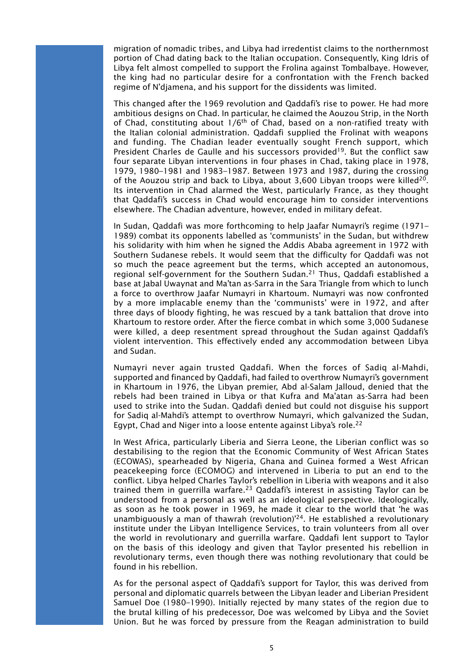migration of nomadic tribes, and Libya had irredentist claims to the northernmost portion of Chad dating back to the Italian occupation. Consequently, King Idris of Libya felt almost compelled to support the Frolina against Tombalbaye. However, the king had no particular desire for a confrontation with the French backed regime of N'djamena, and his support for the dissidents was limited.

This changed after the 1969 revolution and Qaddafi's rise to power. He had more ambitious designs on Chad. In particular, he claimed the Aouzou Strip, in the North of Chad, constituting about  $1/6<sup>th</sup>$  of Chad, based on a non-ratified treaty with the Italian colonial administration. Qaddafi supplied the Frolinat with weapons and funding. The Chadian leader eventually sought French support, which President Charles de Gaulle and his successors provided<sup>19</sup>. But the conflict saw four separate Libyan interventions in four phases in Chad, taking place in 1978, 1979, 1980–1981 and 1983–1987. Between 1973 and 1987, during the crossing of the Aouzou strip and back to Libya, about 3,600 Libyan troops were killed<sup>20</sup>. Its intervention in Chad alarmed the West, particularly France, as they thought that Qaddafi's success in Chad would encourage him to consider interventions elsewhere. The Chadian adventure, however, ended in military defeat.

In Sudan, Qaddafi was more forthcoming to help Jaafar Numayri's regime (1971– 1989) combat its opponents labelled as 'communists' in the Sudan, but withdrew his solidarity with him when he signed the Addis Ababa agreement in 1972 with Southern Sudanese rebels. It would seem that the difficulty for Qaddafi was not so much the peace agreement but the terms, which accepted an autonomous, regional self-government for the Southern Sudan.21 Thus, Qaddafi established a base at Jabal Uwaynat and Ma'tan as-Sarra in the Sara Triangle from which to lunch a force to overthrow Jaafar Numayri in Khartoum. Numayri was now confronted by a more implacable enemy than the 'communists' were in 1972, and after three days of bloody fighting, he was rescued by a tank battalion that drove into Khartoum to restore order. After the fierce combat in which some 3,000 Sudanese were killed, a deep resentment spread throughout the Sudan against Qaddafi's violent intervention. This effectively ended any accommodation between Libya and Sudan.

Numayri never again trusted Qaddafi. When the forces of Sadiq al-Mahdi, supported and financed by Qaddafi, had failed to overthrow Numayri's government in Khartoum in 1976, the Libyan premier, Abd al-Salam Jalloud, denied that the rebels had been trained in Libya or that Kufra and Ma'atan as-Sarra had been used to strike into the Sudan. Qaddafi denied but could not disguise his support for Sadiq al-Mahdi's attempt to overthrow Numayri, which galvanized the Sudan, Egypt, Chad and Niger into a loose entente against Libya's role.<sup>22</sup>

In West Africa, particularly Liberia and Sierra Leone, the Liberian conflict was so destabilising to the region that the Economic Community of West African States (ECOWAS), spearheaded by Nigeria, Ghana and Guinea formed a West African peacekeeping force (ECOMOG) and intervened in Liberia to put an end to the conflict. Libya helped Charles Taylor's rebellion in Liberia with weapons and it also trained them in guerrilla warfare.<sup>23</sup> Qaddafi's interest in assisting Taylor can be understood from a personal as well as an ideological perspective. Ideologically, as soon as he took power in 1969, he made it clear to the world that 'he was unambiguously a man of thawrah (revolution)'24. He established a revolutionary institute under the Libyan Intelligence Services, to train volunteers from all over the world in revolutionary and guerrilla warfare. Qaddafi lent support to Taylor on the basis of this ideology and given that Taylor presented his rebellion in revolutionary terms, even though there was nothing revolutionary that could be found in his rebellion.

As for the personal aspect of Qaddafi's support for Taylor, this was derived from personal and diplomatic quarrels between the Libyan leader and Liberian President Samuel Doe (1980–1990). Initially rejected by many states of the region due to the brutal killing of his predecessor, Doe was welcomed by Libya and the Soviet Union. But he was forced by pressure from the Reagan administration to build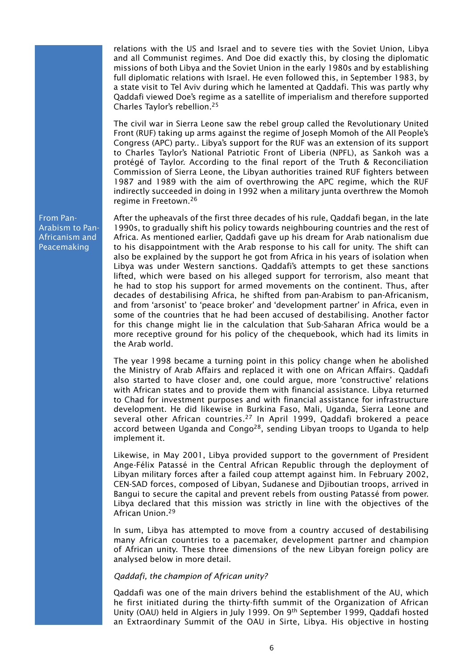relations with the US and Israel and to severe ties with the Soviet Union, Libya and all Communist regimes. And Doe did exactly this, by closing the diplomatic missions of both Libya and the Soviet Union in the early 1980s and by establishing full diplomatic relations with Israel. He even followed this, in September 1983, by a state visit to Tel Aviv during which he lamented at Qaddafi. This was partly why Qaddafi viewed Doe's regime as a satellite of imperialism and therefore supported Charles Taylor's rebellion.25

The civil war in Sierra Leone saw the rebel group called the Revolutionary United Front (RUF) taking up arms against the regime of Joseph Momoh of the All People's Congress (APC) party.. Libya's support for the RUF was an extension of its support to Charles Taylor's National Patriotic Front of Liberia (NPFL), as Sankoh was a protégé of Taylor. According to the final report of the Truth & Reconciliation Commission of Sierra Leone, the Libyan authorities trained RUF fighters between 1987 and 1989 with the aim of overthrowing the APC regime, which the RUF indirectly succeeded in doing in 1992 when a military junta overthrew the Momoh regime in Freetown.26

After the upheavals of the first three decades of his rule, Qaddafi began, in the late 1990s, to gradually shift his policy towards neighbouring countries and the rest of Africa. As mentioned earlier, Qaddafi gave up his dream for Arab nationalism due to his disappointment with the Arab response to his call for unity. The shift can also be explained by the support he got from Africa in his years of isolation when Libya was under Western sanctions. Qaddafi's attempts to get these sanctions lifted, which were based on his alleged support for terrorism, also meant that he had to stop his support for armed movements on the continent. Thus, after decades of destabilising Africa, he shifted from pan-Arabism to pan-Africanism, and from 'arsonist' to 'peace broker' and 'development partner' in Africa, even in some of the countries that he had been accused of destabilising. Another factor for this change might lie in the calculation that Sub-Saharan Africa would be a more receptive ground for his policy of the chequebook, which had its limits in the Arab world.

The year 1998 became a turning point in this policy change when he abolished the Ministry of Arab Affairs and replaced it with one on African Affairs. Qaddafi also started to have closer and, one could argue, more 'constructive' relations with African states and to provide them with financial assistance. Libya returned to Chad for investment purposes and with financial assistance for infrastructure development. He did likewise in Burkina Faso, Mali, Uganda, Sierra Leone and several other African countries.<sup>27</sup> In April 1999, Qaddafi brokered a peace accord between Uganda and Congo<sup>28</sup>, sending Libyan troops to Uganda to help implement it.

Likewise, in May 2001, Libya provided support to the government of President Ange-Félix Patassé in the Central African Republic through the deployment of Libyan military forces after a failed coup attempt against him. In February 2002, CEN-SAD forces, composed of Libyan, Sudanese and Djiboutian troops, arrived in Bangui to secure the capital and prevent rebels from ousting Patassé from power. Libya declared that this mission was strictly in line with the objectives of the African Union.29

In sum, Libya has attempted to move from a country accused of destabilising many African countries to a pacemaker, development partner and champion of African unity. These three dimensions of the new Libyan foreign policy are analysed below in more detail.

### *Qaddafi, the champion of African unity?*

Qaddafi was one of the main drivers behind the establishment of the AU, which he first initiated during the thirty-fifth summit of the Organization of African Unity (OAU) held in Algiers in July 1999. On 9th September 1999, Qaddafi hosted an Extraordinary Summit of the OAU in Sirte, Libya. His objective in hosting

From Pan-Arabism to Pan-Africanism and Peacemaking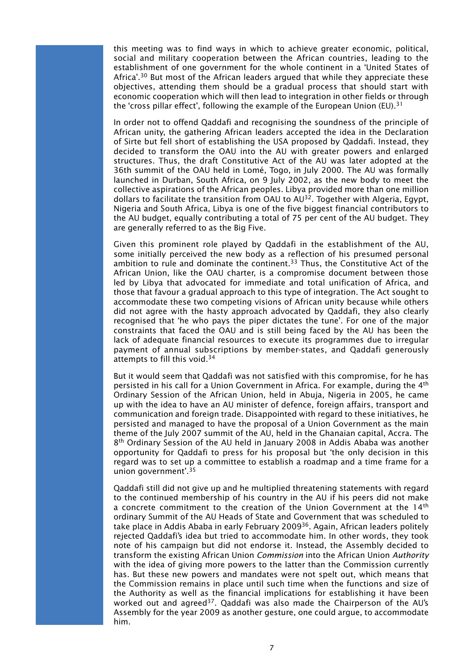this meeting was to find ways in which to achieve greater economic, political, social and military cooperation between the African countries, leading to the establishment of one government for the whole continent in a 'United States of Africa'.<sup>30</sup> But most of the African leaders argued that while they appreciate these objectives, attending them should be a gradual process that should start with economic cooperation which will then lead to integration in other fields or through the 'cross pillar effect', following the example of the European Union (EU).<sup>31</sup>

In order not to offend Qaddafi and recognising the soundness of the principle of African unity, the gathering African leaders accepted the idea in the Declaration of Sirte but fell short of establishing the USA proposed by Qaddafi. Instead, they decided to transform the OAU into the AU with greater powers and enlarged structures. Thus, the draft Constitutive Act of the AU was later adopted at the 36th summit of the OAU held in Lomé, Togo, in July 2000. The AU was formally launched in Durban, South Africa, on 9 July 2002, as the new body to meet the collective aspirations of the African peoples. Libya provided more than one million dollars to facilitate the transition from OAU to  $AU^{32}$ . Together with Algeria, Egypt, Nigeria and South Africa, Libya is one of the five biggest financial contributors to the AU budget, equally contributing a total of 75 per cent of the AU budget. They are generally referred to as the Big Five.

Given this prominent role played by Qaddafi in the establishment of the AU, some initially perceived the new body as a reflection of his presumed personal ambition to rule and dominate the continent.<sup>33</sup> Thus, the Constitutive Act of the African Union, like the OAU charter, is a compromise document between those led by Libya that advocated for immediate and total unification of Africa, and those that favour a gradual approach to this type of integration. The Act sought to accommodate these two competing visions of African unity because while others did not agree with the hasty approach advocated by Qaddafi, they also clearly recognised that 'he who pays the piper dictates the tune'. For one of the major constraints that faced the OAU and is still being faced by the AU has been the lack of adequate financial resources to execute its programmes due to irregular payment of annual subscriptions by member-states, and Qaddafi generously attempts to fill this void.<sup>34</sup>

But it would seem that Qaddafi was not satisfied with this compromise, for he has persisted in his call for a Union Government in Africa. For example, during the 4th Ordinary Session of the African Union, held in Abuja, Nigeria in 2005, he came up with the idea to have an AU minister of defence, foreign affairs, transport and communication and foreign trade. Disappointed with regard to these initiatives, he persisted and managed to have the proposal of a Union Government as the main theme of the July 2007 summit of the AU, held in the Ghanaian capital, Accra. The 8th Ordinary Session of the AU held in January 2008 in Addis Ababa was another opportunity for Qaddafi to press for his proposal but 'the only decision in this regard was to set up a committee to establish a roadmap and a time frame for a union government'.35

Qaddafi still did not give up and he multiplied threatening statements with regard to the continued membership of his country in the AU if his peers did not make a concrete commitment to the creation of the Union Government at the 14<sup>th</sup> ordinary Summit of the AU Heads of State and Government that was scheduled to take place in Addis Ababa in early February 2009<sup>36</sup>. Again, African leaders politely rejected Qaddafi's idea but tried to accommodate him. In other words, they took note of his campaign but did not endorse it. Instead, the Assembly decided to transform the existing African Union *Commission* into the African Union *Authority* with the idea of giving more powers to the latter than the Commission currently has. But these new powers and mandates were not spelt out, which means that the Commission remains in place until such time when the functions and size of the Authority as well as the financial implications for establishing it have been worked out and agreed<sup>37</sup>. Qaddafi was also made the Chairperson of the AU's Assembly for the year 2009 as another gesture, one could argue, to accommodate him.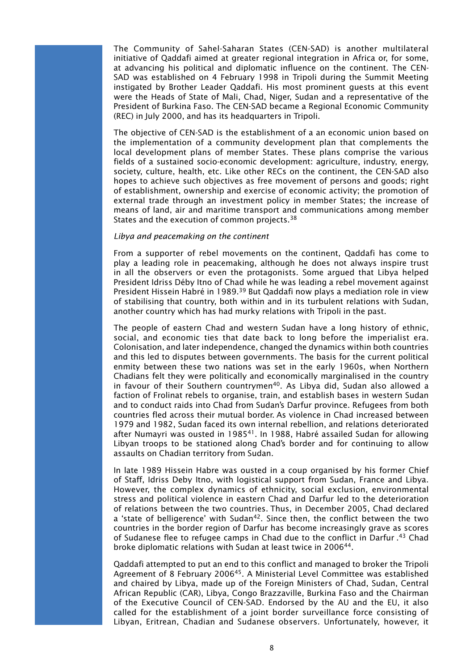The Community of Sahel-Saharan States (CEN-SAD) is another multilateral initiative of Oaddafi aimed at greater regional integration in Africa or, for some, at advancing his political and diplomatic influence on the continent. The CEN-SAD was established on 4 February 1998 in Tripoli during the Summit Meeting instigated by Brother Leader Qaddafi. His most prominent guests at this event were the Heads of State of Mali, Chad, Niger, Sudan and a representative of the President of Burkina Faso. The CEN-SAD became a Regional Economic Community (REC) in July 2000, and has its headquarters in Tripoli.

The objective of CEN-SAD is the establishment of a an economic union based on the implementation of a community development plan that complements the local development plans of member States. These plans comprise the various fields of a sustained socio-economic development: agriculture, industry, energy, society, culture, health, etc. Like other RECs on the continent, the CEN-SAD also hopes to achieve such objectives as free movement of persons and goods; right of establishment, ownership and exercise of economic activity; the promotion of external trade through an investment policy in member States; the increase of means of land, air and maritime transport and communications among member States and the execution of common projects.<sup>38</sup>

#### *Libya and peacemaking on the continent*

From a supporter of rebel movements on the continent, Qaddafi has come to play a leading role in peacemaking, although he does not always inspire trust in all the observers or even the protagonists. Some argued that Libya helped President Idriss Déby Itno of Chad while he was leading a rebel movement against President Hissein Habré in 1989.<sup>39</sup> But Qaddafi now plays a mediation role in view of stabilising that country, both within and in its turbulent relations with Sudan, another country which has had murky relations with Tripoli in the past.

The people of eastern Chad and western Sudan have a long history of ethnic, social, and economic ties that date back to long before the imperialist era. Colonisation, and later independence, changed the dynamics within both countries and this led to disputes between governments. The basis for the current political enmity between these two nations was set in the early 1960s, when Northern Chadians felt they were politically and economically marginalised in the country in favour of their Southern countrymen<sup>40</sup>. As Libya did, Sudan also allowed a faction of Frolinat rebels to organise, train, and establish bases in western Sudan and to conduct raids into Chad from Sudan's Darfur province. Refugees from both countries fled across their mutual border. As violence in Chad increased between 1979 and 1982, Sudan faced its own internal rebellion, and relations deteriorated after Numayri was ousted in 1985<sup>41</sup>. In 1988, Habré assailed Sudan for allowing Libyan troops to be stationed along Chad's border and for continuing to allow assaults on Chadian territory from Sudan.

In late 1989 Hissein Habre was ousted in a coup organised by his former Chief of Staff, Idriss Deby Itno, with logistical support from Sudan, France and Libya. However, the complex dynamics of ethnicity, social exclusion, environmental stress and political violence in eastern Chad and Darfur led to the deterioration of relations between the two countries. Thus, in December 2005, Chad declared a 'state of belligerence' with Sudan<sup>42</sup>. Since then, the conflict between the two countries in the border region of Darfur has become increasingly grave as scores of Sudanese flee to refugee camps in Chad due to the conflict in Darfur .<sup>43</sup> Chad broke diplomatic relations with Sudan at least twice in 200644.

Qaddafi attempted to put an end to this conflict and managed to broker the Tripoli Agreement of 8 February 2006<sup>45</sup>. A Ministerial Level Committee was established and chaired by Libya, made up of the Foreign Ministers of Chad, Sudan, Central African Republic (CAR), Libya, Congo Brazzaville, Burkina Faso and the Chairman of the Executive Council of CEN-SAD. Endorsed by the AU and the EU, it also called for the establishment of a joint border surveillance force consisting of Libyan, Eritrean, Chadian and Sudanese observers. Unfortunately, however, it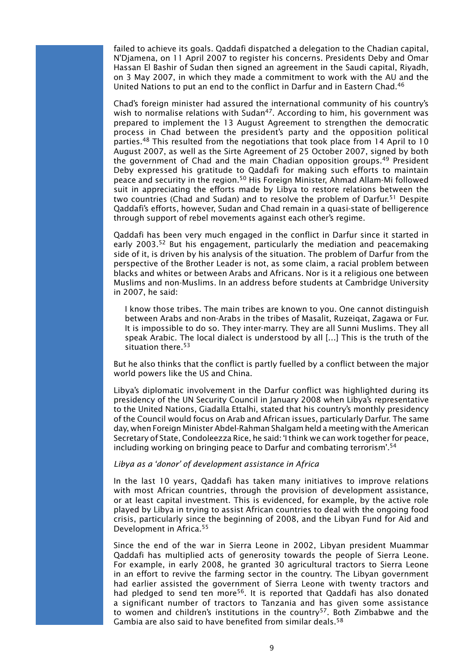failed to achieve its goals. Qaddafi dispatched a delegation to the Chadian capital, N'Djamena, on 11 April 2007 to register his concerns. Presidents Deby and Omar Hassan El Bashir of Sudan then signed an agreement in the Saudi capital, Riyadh, on 3 May 2007, in which they made a commitment to work with the AU and the United Nations to put an end to the conflict in Darfur and in Eastern Chad.46

Chad's foreign minister had assured the international community of his country's wish to normalise relations with Sudan<sup>47</sup>. According to him, his government was prepared to implement the 13 August Agreement to strengthen the democratic process in Chad between the president's party and the opposition political parties.<sup>48</sup> This resulted from the negotiations that took place from 14 April to 10 August 2007, as well as the Sirte Agreement of 25 October 2007, signed by both the government of Chad and the main Chadian opposition groups.<sup>49</sup> President Deby expressed his gratitude to Qaddafi for making such efforts to maintain peace and security in the region.50 His Foreign Minister, Ahmad Allam-Mi followed suit in appreciating the efforts made by Libya to restore relations between the two countries (Chad and Sudan) and to resolve the problem of Darfur.<sup>51</sup> Despite Qaddafi's efforts, however, Sudan and Chad remain in a quasi-state of belligerence through support of rebel movements against each other's regime.

Qaddafi has been very much engaged in the conflict in Darfur since it started in early 2003.<sup>52</sup> But his engagement, particularly the mediation and peacemaking side of it, is driven by his analysis of the situation. The problem of Darfur from the perspective of the Brother Leader is not, as some claim, a racial problem between blacks and whites or between Arabs and Africans. Nor is it a religious one between Muslims and non-Muslims. In an address before students at Cambridge University in 2007, he said:

I know those tribes. The main tribes are known to you. One cannot distinguish between Arabs and non-Arabs in the tribes of Masalit, Ruzeiqat, Zagawa or Fur. It is impossible to do so. They inter-marry. They are all Sunni Muslims. They all speak Arabic. The local dialect is understood by all […] This is the truth of the situation there.<sup>53</sup>

But he also thinks that the conflict is partly fuelled by a conflict between the major world powers like the US and China.

Libya's diplomatic involvement in the Darfur conflict was highlighted during its presidency of the UN Security Council in January 2008 when Libya's representative to the United Nations, Giadalla Ettalhi, stated that his country's monthly presidency of the Council would focus on Arab and African issues, particularly Darfur. The same day, when Foreign Minister Abdel-Rahman Shalgam held a meeting with the American Secretary of State, Condoleezza Rice, he said: 'I think we can work together for peace, including working on bringing peace to Darfur and combating terrorism'.54

#### *Libya as a 'donor' of development assistance in Africa*

In the last 10 years, Qaddafi has taken many initiatives to improve relations with most African countries, through the provision of development assistance, or at least capital investment. This is evidenced, for example, by the active role played by Libya in trying to assist African countries to deal with the ongoing food crisis, particularly since the beginning of 2008, and the Libyan Fund for Aid and Development in Africa.55

Since the end of the war in Sierra Leone in 2002, Libyan president Muammar Qaddafi has multiplied acts of generosity towards the people of Sierra Leone. For example, in early 2008, he granted 30 agricultural tractors to Sierra Leone in an effort to revive the farming sector in the country. The Libyan government had earlier assisted the government of Sierra Leone with twenty tractors and had pledged to send ten more<sup>56</sup>. It is reported that Qaddafi has also donated a significant number of tractors to Tanzania and has given some assistance to women and children's institutions in the country<sup>57</sup>. Both Zimbabwe and the Gambia are also said to have benefited from similar deals.<sup>58</sup>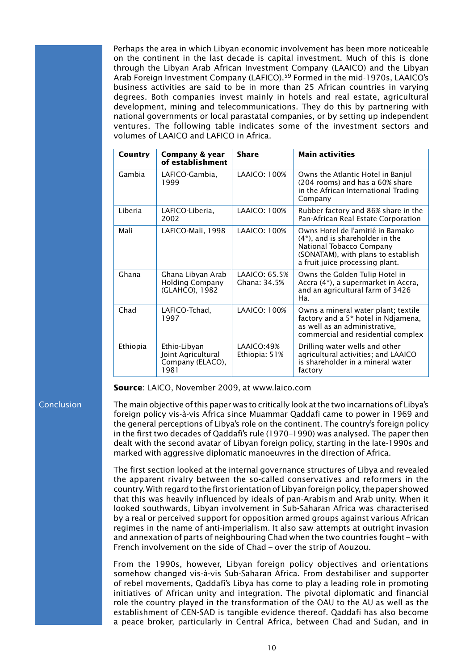Perhaps the area in which Libyan economic involvement has been more noticeable on the continent in the last decade is capital investment. Much of this is done through the Libyan Arab African Investment Company (LAAICO) and the Libyan Arab Foreign Investment Company (LAFICO).<sup>59</sup> Formed in the mid-1970s, LAAICO's business activities are said to be in more than 25 African countries in varying degrees. Both companies invest mainly in hotels and real estate, agricultural development, mining and telecommunications. They do this by partnering with national governments or local parastatal companies, or by setting up independent ventures. The following table indicates some of the investment sectors and volumes of LAAICO and LAFICO in Africa.

| Country  | Company & year<br>of establishment                             | <b>Share</b>                  | <b>Main activities</b>                                                                                                                                                       |
|----------|----------------------------------------------------------------|-------------------------------|------------------------------------------------------------------------------------------------------------------------------------------------------------------------------|
| Gambia   | LAFICO-Gambia,<br>1999                                         | <b>LAAICO: 100%</b>           | Owns the Atlantic Hotel in Banjul<br>(204 rooms) and has a 60% share<br>in the African International Trading<br>Company                                                      |
| I iberia | LAFICO-Liberia,<br>2002                                        | LAAICO: 100%                  | Rubber factory and 86% share in the<br>Pan-African Real Estate Corporation                                                                                                   |
| Mali     | LAFICO-Mali, 1998                                              | LAAICO: 100%                  | Owns Hotel de l'amitié in Bamako<br>$(4^*)$ , and is shareholder in the<br>National Tobacco Company<br>(SONATAM), with plans to establish<br>a fruit juice processing plant. |
| Ghana    | Ghana Libyan Arab<br><b>Holding Company</b><br>(GLAHCO), 1982  | LAAICO: 65.5%<br>Ghana: 34.5% | Owns the Golden Tulip Hotel in<br>Accra (4*), a supermarket in Accra,<br>and an agricultural farm of 3426<br>Ha.                                                             |
| Chad     | LAFICO-Tchad,<br>1997                                          | <b>LAAICO: 100%</b>           | Owns a mineral water plant; textile<br>factory and a 5* hotel in Ndjamena,<br>as well as an administrative,<br>commercial and residential complex                            |
| Ethiopia | Ethio-Libyan<br>Joint Agricultural<br>Company (ELACO),<br>1981 | LAAICO:49%<br>Ethiopia: 51%   | Drilling water wells and other<br>agricultural activities; and LAAICO<br>is shareholder in a mineral water<br>factory                                                        |

**Source**: LAICO, November 2009, at www.laico.com

#### Conclusion

The main objective of this paper was to critically look at the two incarnations of Libya's foreign policy vis-à-vis Africa since Muammar Qaddafi came to power in 1969 and the general perceptions of Libya's role on the continent. The country's foreign policy in the first two decades of Qaddafi's rule (1970–1990) was analysed. The paper then dealt with the second avatar of Libyan foreign policy, starting in the late-1990s and marked with aggressive diplomatic manoeuvres in the direction of Africa.

The first section looked at the internal governance structures of Libya and revealed the apparent rivalry between the so-called conservatives and reformers in the country. With regard to the first orientation of Libyan foreign policy, the paper showed that this was heavily influenced by ideals of pan-Arabism and Arab unity. When it looked southwards, Libyan involvement in Sub-Saharan Africa was characterised by a real or perceived support for opposition armed groups against various African regimes in the name of anti-imperialism. It also saw attempts at outright invasion and annexation of parts of neighbouring Chad when the two countries fought – with French involvement on the side of Chad – over the strip of Aouzou.

From the 1990s, however, Libyan foreign policy objectives and orientations somehow changed vis-à-vis Sub-Saharan Africa. From destabiliser and supporter of rebel movements, Qaddafi's Libya has come to play a leading role in promoting initiatives of African unity and integration. The pivotal diplomatic and financial role the country played in the transformation of the OAU to the AU as well as the establishment of CEN-SAD is tangible evidence thereof. Qaddafi has also become a peace broker, particularly in Central Africa, between Chad and Sudan, and in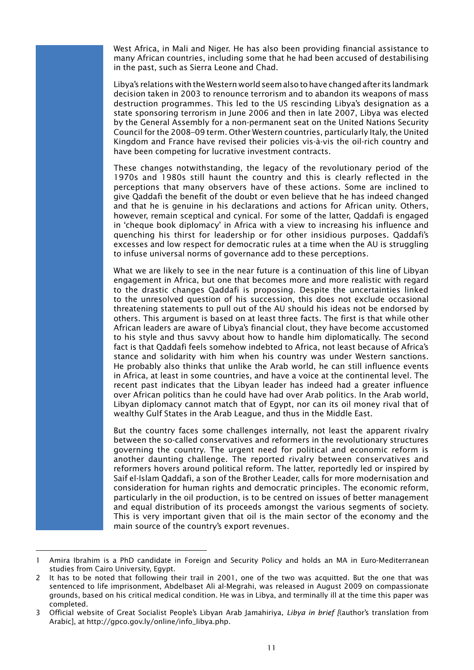West Africa, in Mali and Niger. He has also been providing financial assistance to many African countries, including some that he had been accused of destabilising in the past, such as Sierra Leone and Chad.

Libya's relations with the Western world seem also to have changed after its landmark decision taken in 2003 to renounce terrorism and to abandon its weapons of mass destruction programmes. This led to the US rescinding Libya's designation as a state sponsoring terrorism in June 2006 and then in late 2007, Libya was elected by the General Assembly for a non-permanent seat on the United Nations Security Council for the 2008–09 term. Other Western countries, particularly Italy, the United Kingdom and France have revised their policies vis-à-vis the oil-rich country and have been competing for lucrative investment contracts.

These changes notwithstanding, the legacy of the revolutionary period of the 1970s and 1980s still haunt the country and this is clearly reflected in the perceptions that many observers have of these actions. Some are inclined to give Qaddafi the benefit of the doubt or even believe that he has indeed changed and that he is genuine in his declarations and actions for African unity. Others, however, remain sceptical and cynical. For some of the latter, Qaddafi is engaged in 'cheque book diplomacy' in Africa with a view to increasing his influence and quenching his thirst for leadership or for other insidious purposes. Qaddafi's excesses and low respect for democratic rules at a time when the AU is struggling to infuse universal norms of governance add to these perceptions.

What we are likely to see in the near future is a continuation of this line of Libyan engagement in Africa, but one that becomes more and more realistic with regard to the drastic changes Qaddafi is proposing. Despite the uncertainties linked to the unresolved question of his succession, this does not exclude occasional threatening statements to pull out of the AU should his ideas not be endorsed by others. This argument is based on at least three facts. The first is that while other African leaders are aware of Libya's financial clout, they have become accustomed to his style and thus savvy about how to handle him diplomatically. The second fact is that Qaddafi feels somehow indebted to Africa, not least because of Africa's stance and solidarity with him when his country was under Western sanctions. He probably also thinks that unlike the Arab world, he can still influence events in Africa, at least in some countries, and have a voice at the continental level. The recent past indicates that the Libyan leader has indeed had a greater influence over African politics than he could have had over Arab politics. In the Arab world, Libyan diplomacy cannot match that of Egypt, nor can its oil money rival that of wealthy Gulf States in the Arab League, and thus in the Middle East.

But the country faces some challenges internally, not least the apparent rivalry between the so-called conservatives and reformers in the revolutionary structures governing the country. The urgent need for political and economic reform is another daunting challenge. The reported rivalry between conservatives and reformers hovers around political reform. The latter, reportedly led or inspired by Saif el-Islam Qaddafi, a son of the Brother Leader, calls for more modernisation and consideration for human rights and democratic principles. The economic reform, particularly in the oil production, is to be centred on issues of better management and equal distribution of its proceeds amongst the various segments of society. This is very important given that oil is the main sector of the economy and the main source of the country's export revenues.

<sup>1</sup> Amira Ibrahim is a PhD candidate in Foreign and Security Policy and holds an MA in Euro-Mediterranean studies from Cairo University, Egypt.

<sup>2</sup> It has to be noted that following their trail in 2001, one of the two was acquitted. But the one that was sentenced to life imprisonment, Abdelbaset Ali al-Megrahi, was released in August 2009 on compassionate grounds, based on his critical medical condition. He was in Libya, and terminally ill at the time this paper was completed.

<sup>3</sup> Official website of Great Socialist People's Libyan Arab Jamahiriya, *Libya in brief [*(author's translation from Arabic], at http://gpco.gov.ly/online/info\_libya.php.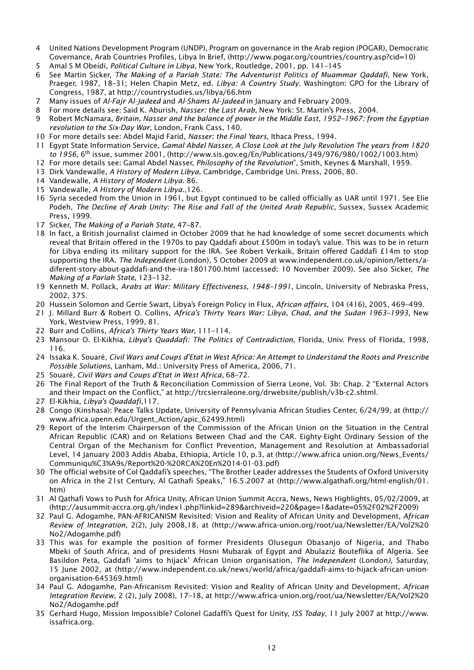- 4 United Nations Development Program (UNDP), Program on governance in the Arab region (POGAR), Democratic Governance, Arab Countries Profiles, Libya In Brief, (http://www.pogar.org/countries/country.asp?cid=10)
- 5 Amal S M Obeidi, *Political Culture in Libya*, New York, Routledge, 2001, pp. 141–145
- 6 See Martin Sicker, *The Making of a Pariah State: The Adventurist Politics of Muammar Qaddafi*, New York, Praeger, 1987, 18–31; Helen Chapin Metz, ed. *Libya: A Country Study*. Washington: GPO for the Library of Congress, 1987, at http://countrystudies.us/libya/66.htm
- 7 Many issues of *Al-Fajr Al-Jadeed* and *Al-Shams Al-Jadeed* in January and February 2009.
- 8 For more details see: Said K. Aburish, *Nasser: the Last Arab*, New York: St. Martin's Press, 2004.
- 9 Robert McNamara, *Britain, Nasser and the balance of power in the Middle East, 1952–1967: from the Egyptian revolution to the Six-Day War*, London, Frank Cass, 140.
- 10 For more details see: Abdel Majid Farid, *Nasser: the Final Years*, Ithaca Press, 1994.
- 11 Egypt State Information Service, *Gamal Abdel Nasser, A Close Look at the July Revolution The years from 1820 to 1956*, 6th issue, summer 2001, (http://www.sis.gov.eg/En/Publications/349/976/980/1002/1003.htm)
- 12 For more details see: Gamal Abdel Nasser, *Philosophy of the Revolution*", Smith, Keynes & Marshall, 1959.
- 13 Dirk Vandewalle, *A History of Modern Libya*, Cambridge, Cambridge Uni. Press, 2006, 80.
- 14 Vandewalle, *A History of Modern Libya*. 86.
- 15 Vandewalle, *A History of Modern Libya*.,126.
- 16 Syria seceded from the Union in 1961, but Egypt continued to be called officially as UAR until 1971. See Elie Podeh, *The Decline of Arab Unity: The Rise and Fall of the United Arab Republic*, Sussex, Sussex Academic Press, 1999.
- 17 Sicker, *The Making of a Pariah State*, 47–87.
- 18 In fact, a British journalist claimed in October 2009 that he had knowledge of some secret documents which reveal that Britain offered in the 1970s to pay Qaddafi about £500m in today's value. This was to be in return for Libya ending its military support for the IRA. See Robert Verkaik, Britain offered Gaddafi £14m to stop supporting the IRA. *The Independent* (London), 5 October 2009 at www.independent.co.uk/opinion/letters/adiferent-story-about-gaddafi-and-the-ira-1801700.html (accessed: 10 November 2009). See also Sicker, *The Making of a Pariah State*, 123–132.
- 19 Kenneth M. Pollack, *Arabs at War: Military Effectiveness, 1948–1991*, Lincoln, University of Nebraska Press, 2002, 375.
- 20 Hussein Solomon and Gerrie Swart, Libya's Foreign Policy in Flux, *African affairs*, 104 (416), 2005, 469–499.
- 21 J. Millard Burr & Robert O. Collins, *Africa's Thirty Years War: Libya, Chad, and the Sudan 1963–1993*, New York, Westview Press, 1999, 81.
- 22 Burr and Collins, *Africa's Thirty Years War,* 111–114.
- 23 Mansour O. El-Kikhia, *Libya's Quaddafi: The Politics of Contradiction*, Florida, Univ. Press of Florida, 1998, 116.
- 24 Issaka K. Souaré, *Civil Wars and Coups d'Etat in West Africa: An Attempt to Understand the Roots and Prescribe Possible Solutions*, Lanham, Md.: University Press of America, 2006, 71.
- 25 Souaré, *Civil Wars and Coups d'Etat in West Africa,* 68–72.
- 26 The Final Report of the Truth & Reconciliation Commission of Sierra Leone, Vol. 3b: Chap. 2 "External Actors and their Impact on the Conflict," at http://trcsierraleone.org/drwebsite/publish/v3b-c2.shtml.
- 27 El-Kikhia, *Libya's Quaddafi,*117.
- 28 Congo (Kinshasa): Peace Talks Update, University of Pennsylvania African Studies Center, 6/24/99, at (http:// www.africa.upenn.edu/Urgent\_Action/apic\_62499.html)
- 29 Report of the Interim Chairperson of the Commission of the African Union on the Situation in the Central African Republic (CAR) and on Relations Between Chad and the CAR. Eighty-Eight Ordinary Session of the Central Organ of the Mechanism for Conflict Prevention, Management and Resolution at Ambassadorial Level, 14 January 2003 Addis Ababa, Ethiopia, Article 10, p.3, at (http://www.africa union.org/News\_Events/ Communiqu%C3%A9s/Report%20-%20RCA%20En%2014-01-03.pdf)
- 30 The official website of Col Qaddafi's speeches, "The Brother Leader addresses the Students of Oxford University on Africa in the 21st Century, Al Gathafi Speaks," 16.5.2007 at (http://www.algathafi.org/html-english/01. htm)
- 31 Al Qathafi Vows to Push for Africa Unity, African Union Summit Accra, News, News Highlights, 05/02/2009, at (http://ausummit-accra.org.gh/index1.php?linkid=289&archiveid=220&page=1&adate=05%2F02%2F2009)
- 32 Paul G. Adogamhe, PAN-AFRICANISM Revisited: Vision and Reality of African Unity and Development, *African Review of Integration,* 2(2), July 2008,18, at (http://www.africa-union.org/root/ua/Newsletter/EA/Vol2%20 No2/Adogamhe.pdf)
- 33 This was for example the position of former Presidents Olusegun Obasanjo of Nigeria, and Thabo Mbeki of South Africa, and of presidents Hosni Mubarak of Egypt and Abulaziz Bouteflika of Algeria. See Basildon Peta, Gaddafi 'aims to hijack' African Union organisation, *The Independent* (London*)*, Saturday, 15 June 2002, at (http://www.independent.co.uk/news/world/africa/gaddafi-aims-to-hijack-african-unionorganisation-645369.html)
- 34 Paul G. Adogamhe, Pan-Africanism Revisited: Vision and Reality of African Unity and Development, *African Integration Review*, 2 (2), July 2008), 17–18, at http://www.africa-union.org/root/ua/Newsletter/EA/Vol2%20 No2/Adogamhe.pdf
- 35 Gerhard Hugo, Mission Impossible? Colonel Gadaffi's Quest for Unity, *ISS Today*, 11 July 2007 at http://www. issafrica.org.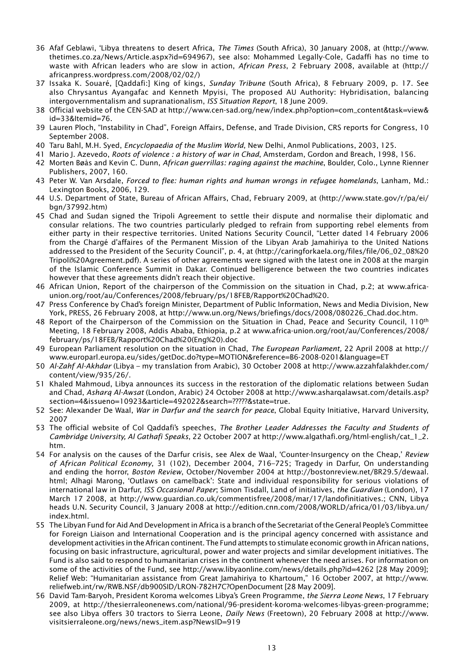- 36 Afaf Geblawi, 'Libya threatens to desert Africa, *The Times* (South Africa), 30 January 2008, at (http://www. thetimes.co.za/News/Article.aspx?id=694967), see also: Mohammed Legally-Cole, Gadaffi has no time to waste with African leaders who are slow in action, *African Press*, 2 February 2008, available at (http:// africanpress.wordpress.com/2008/02/02/)
- 37 Issaka K. Souaré, [Qaddafi:] King of kings, *Sunday Tribune* (South Africa), 8 February 2009, p. 17. See also Chrysantus Ayangafac and Kenneth Mpyisi, The proposed AU Authority: Hybridisation, balancing intergovernmentalism and supranationalism, *ISS Situation Report*, 18 June 2009.
- 38 Official website of the CEN-SAD at http://www.cen-sad.org/new/index.php?option=com\_content&task=view& id=33&Itemid=76.
- 39 Lauren Ploch, "Instability in Chad", Foreign Affairs, Defense, and Trade Division, CRS reports for Congress, 10 September 2008.
- 40 Taru Bahl, M.H. Syed, *Encyclopaedia of the Muslim World*, New Delhi, Anmol Publications, 2003, 125.
- 41 Mario J. Azevedo, *Roots of violence : a history of war in Chad*, Amsterdam, Gordon and Breach, 1998, 156.
- 42 Morten Bøås and Kevin C. Dunn, *African guerrillas: raging against the machine*, Boulder, Colo., Lynne Rienner Publishers, 2007, 160.
- 43 Peter W. Van Arsdale, *Forced to flee: human rights and human wrongs in refugee homelands*, Lanham, Md.: Lexington Books, 2006, 129.
- 44 U.S. Department of State, Bureau of African Affairs, Chad, February 2009, at (http://www.state.gov/r/pa/ei/ bgn/37992.htm)
- 45 Chad and Sudan signed the Tripoli Agreement to settle their dispute and normalise their diplomatic and consular relations. The two countries particularly pledged to refrain from supporting rebel elements from either party in their respective territories. United Nations Security Council, "Letter dated 14 February 2006 from the Chargé d'affaires of the Permanent Mission of the Libyan Arab Jamahiriya to the United Nations addressed to the President of the Security Council", p. 4, at (http://caringforkaela.org/files/file/06\_02\_08%20 Tripoli%20Agreement.pdf). A series of other agreements were signed with the latest one in 2008 at the margin of the Islamic Conference Summit in Dakar. Continued belligerence between the two countries indicates however that these agreements didn't reach their objective.
- 46 African Union, Report of the chairperson of the Commission on the situation in Chad, p.2; at www.africaunion.org/root/au/Conferences/2008/february/ps/18FEB/Rapport%20Chad%20.
- 47 Press Conference by Chad's foreign Minister, Department of Public Information, News and Media Division, New York, PRESS, 26 February 2008, at http://www.un.org/News/briefings/docs/2008/080226\_Chad.doc.htm.
- 48 Report of the Chairperson of the Commission on the Situation in Chad, Peace and Security Council, 110<sup>th</sup> Meeting, 18 February 2008, Addis Ababa, Ethiopia, p.2 at www.africa-union.org/root/au/Conferences/2008/ february/ps/18FEB/Rapport%20Chad%20(Eng%20).doc
- 49 European Parliament resolution on the situation in Chad, *The European Parliament,* 22 April 2008 at http:// www.europarl.europa.eu/sides/getDoc.do?type=MOTION&reference=B6-2008-0201&language=ET
- 50 *Al-Zahf Al-Akhdar* (Libya my translation from Arabic), 30 October 2008 at http://www.azzahfalakhder.com/ content/view/935/26/.
- 51 Khaled Mahmoud, Libya announces its success in the restoration of the diplomatic relations between Sudan and Chad, *Asharq Al-Awsat* (London, Arabic) 24 October 2008 at http://www.asharqalawsat.com/details.asp? section=4&issueno=10923&article=492022&search=?????&state=true.
- 52 See: Alexander De Waal, *War in Darfur and the search for peace*, Global Equity Initiative, Harvard University, 2007
- 53 The official website of Col Qaddafi's speeches, *The Brother Leader Addresses the Faculty and Students of Cambridge University, Al Gathafi Speaks*, 22 October 2007 at http://www.algathafi.org/html-english/cat\_1\_2. htm.
- 54 For analysis on the causes of the Darfur crisis, see Alex de Waal, 'Counter-Insurgency on the Cheap,' *Review of African Political Economy*, 31 (102), December 2004, 716–725; Tragedy in Darfur, On understanding and ending the horror, *Boston Review*, October/November 2004 at http://bostonreview.net/BR29.5/dewaal. html; Alhagi Marong, 'Outlaws on camelback': State and individual responsibility for serious violations of international law in Darfur, *ISS Occasional Paper*; Simon Tisdall, Land of initiatives, *the Guardian* (London), 17 March 17 2008, at http://www.guardian.co.uk/commentisfree/2008/mar/17/landofinitiatives.; CNN, Libya heads U.N. Security Council, 3 January 2008 at http://edition.cnn.com/2008/WORLD/africa/01/03/libya.un/ index.html.
- 55 The Libyan Fund for Aid And Development in Africa is a branch of the Secretariat of the General People's Committee for Foreign Liaison and International Cooperation and is the principal agency concerned with assistance and development activities in the African continent. The Fund attempts to stimulate economic growth in African nations, focusing on basic infrastructure, agricultural, power and water projects and similar development initiatives. The Fund is also said to respond to humanitarian crises in the continent whenever the need arises. For information on some of the activities of the Fund, see http://www.libyaonline.com/news/details.php?id=4262 [28 May 2009]; Relief Web: "Humanitarian assistance from Great Jamahiriya to Khartoum," 16 October 2007, at http://www. reliefweb.int/rw/RWB.NSF/db900SID/LRON-782H7C?OpenDocument [28 May 2009].
- 56 David Tam-Baryoh, President Koroma welcomes Libya's Green Programme, *the Sierra Leone News*, 17 February 2009, at http://thesierraleonenews.com/national/96-president-koroma-welcomes-libyas-green-programme; see also Libya offers 30 tractors to Sierra Leone, *Daily News* (Freetown)*,* 20 February 2008 at http://www. visitsierraleone.org/news/news\_item.asp?NewsID=919